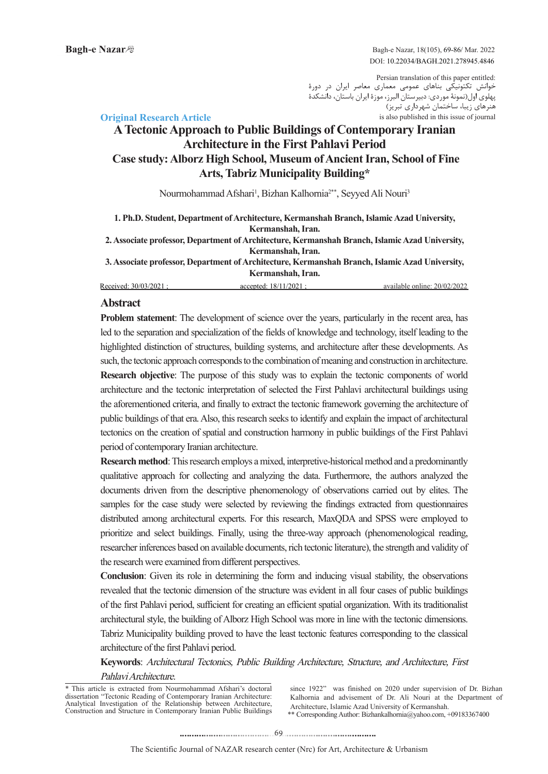Bagh-e Nazar, 18(105), 69-86/ Mar. 2022 DOI: 10.22034/BAGH.2021.278945.4846

Persian translation of this paper entitled: خوانش تکتونیکی بناهای عمومی معماری معاصر ایران در دورۀ پهلوی اول)نمونۀ موردی: دبیرستان البرز، موزۀ ایران باستان، دانشکدۀ ... ر<sub>کس</sub> رو<br>هنرهای زیبا، ساختمان شهرداری تبریز) is also published in this issue of journal

# **Article Research Article A Tectonic Approach to Public Buildings of Contemporary Iranian Architecture in the First Pahlavi Period Case study: Alborz High School, Museum of Ancient Iran, School of Fine Arts, Tabriz Municipality Building\***

Nourmohammad Afshari<sup>1</sup>, Bizhan Kalhornia<sup>2\*\*</sup>, Seyyed Ali Nouri<sup>3</sup>

1. Ph.D. Student, Department of Architecture, Kermanshah Branch, Islamic Azad University, **Kermanshah**, Iran.

2. Associate professor, Department of Architecture, Kermanshah Branch, Islamic Azad University, **Kermanshah**, Iran.

3. Associate professor, Department of Architecture, Kermanshah Branch, Islamic Azad University, **Kermanshah**, Iran.

Received: 30/03/2021 : accepted: 18/11/2021 : available online: 20/02/2022

## **Abstract**

Problem statement: The development of science over the years, particularly in the recent area, has led to the separation and specialization of the fields of knowledge and technology, itself leading to the highlighted distinction of structures, building systems, and architecture after these developments. As such, the tectonic approach corresponds to the combination of meaning and construction in architecture. Research objective: The purpose of this study was to explain the tectonic components of world architecture and the tectonic interpretation of selected the First Pahlavi architectural buildings using the aforementioned criteria, and finally to extract the tectonic framework governing the architecture of public buildings of that era. Also, this research seeks to identify and explain the impact of architectural tectonics on the creation of spatial and construction harmony in public buildings of the First Pahlavi period of contemporary Iranian architecture.

**Research method:** This research employs a mixed, interpretive-historical method and a predominantly qualitative approach for collecting and analyzing the data. Furthermore, the authors analyzed the documents driven from the descriptive phenomenology of observations carried out by elites. The samples for the case study were selected by reviewing the findings extracted from questionnaires distributed among architectural experts. For this research, MaxODA and SPSS were employed to prioritize and select buildings. Finally, using the three-way approach (phenomenological reading, researcher inferences based on available documents, rich tectonic literature), the strength and validity of the research were examined from different perspectives.

**Conclusion**: Given its role in determining the form and inducing visual stability, the observations revealed that the tectonic dimension of the structure was evident in all four cases of public buildings of the first Pahlavi period, sufficient for creating an efficient spatial organization. With its traditionalist architectural style, the building of Alborz High School was more in line with the tectonic dimensions. Tabriz Municipality building proved to have the least tectonic features corresponding to the classical architecture of the first Pahlavi period.

Keywords: Architectural Tectonics, Public Building Architecture, Structure, and Architecture, First Pahlavi Architecture.

\* This article is extracted from Nourmohammad Afshari's doctoral dissertation "Tectonic Reading of Contemporary Iranian Architecture: Analytical Investigation of the Relationship between Architecture, Construction and Structure in Contemporary Iranian Public Buildings \*\* Corresponding Author: Bizhankalhornia @yahoo.com, +09183367400 since 1922" was finished on 2020 under supervision of Dr. Bizhan Kalhornia and advisement of Dr. Ali Nouri at the Department of Architecture, Islamic Azad University of Kermanshah.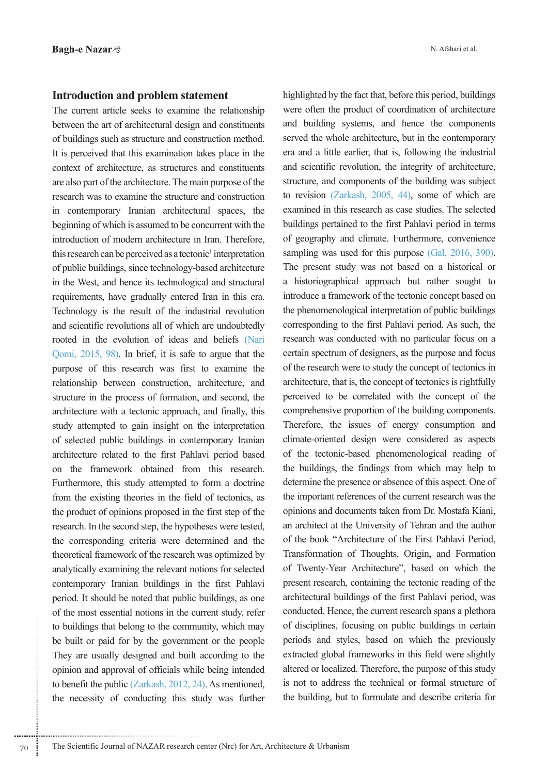## **Introduction and problem statement**

The current article seeks to examine the relationship between the art of architectural design and constituents of buildings such as structure and construction method. It is perceived that this examination takes place in the context of architecture, as structures and constituents are also part of the architecture. The main purpose of the research was to examine the structure and construction in contemporary Iranian architectural spaces, the beginning of which is assumed to be concurrent with the introduction of modern architecture in Iran. Therefore, this research can be perceived as a tectonic<sup>1</sup> interpretation of public buildings, since technology-based architecture in the West, and hence its technological and structural requirements, have gradually entered Iran in this era. Technology is the result of the industrial revolution and scientific revolutions all of which are undoubtedly rooted in the evolution of ideas and beliefs (Nari Qomi,  $2015$ ,  $98$ ). In brief, it is safe to argue that the purpose of this research was first to examine the relationship between construction, architecture, and structure in the process of formation, and second, the architecture with a tectonic approach, and finally, this study attempted to gain insight on the interpretation of selected public buildings in contemporary Iranian architecture related to the first Pahlavi period based on the framework obtained from this research. Furthermore, this study attempted to form a doctrine from the existing theories in the field of tectonics, as the product of opinions proposed in the first step of the research. In the second step, the hypotheses were tested, the corresponding criteria were determined and the theoretical framework of the research was optimized by analytically examining the relevant notions for selected contemporary Iranian buildings in the first Pahlavi period. It should be noted that public buildings, as one of the most essential notions in the current study, refer to buildings that belong to the community, which may be built or paid for by the government or the people They are usually designed and built according to the opinion and approval of officials while being intended to benefit the public (Zarkash,  $2012$ ,  $24$ ). As mentioned, the necessity of conducting this study was further highlighted by the fact that, before this period, buildings were often the product of coordination of architecture and building systems, and hence the components served the whole architecture, but in the contemporary era and a little earlier, that is, following the industrial and scientific revolution, the integrity of architecture, structure, and components of the building was subject to revision (Zarkash,  $2005$ , 44), some of which are examined in this research as case studies. The selected buildings pertained to the first Pahlavi period in terms of geography and climate. Furthermore, convenience sampling was used for this purpose  $(Gal, 2016, 390)$ . The present study was not based on a historical or a historiographical approach but rather sought to introduce a framework of the tectonic concept based on the phenomenological interpretation of public buildings corresponding to the first Pahlavi period. As such, the research was conducted with no particular focus on a certain spectrum of designers, as the purpose and focus of the research were to study the concept of tectonics in architecture, that is, the concept of tectonics is rightfully perceived to be correlated with the concept of the comprehensive proportion of the building components. Therefore, the issues of energy consumption and climate-oriented design were considered as aspects of the tectonic-based phenomenological reading of the buildings, the findings from which may help to determine the presence or absence of this aspect. One of the important references of the current research was the opinions and documents taken from Dr. Mostafa Kiani, an architect at the University of Tehran and the author of the book "Architecture of the First Pahlavi Period, Transformation of Thoughts, Origin, and Formation of Twenty-Year Architecture", based on which the present research, containing the tectonic reading of the architectural buildings of the first Pahlavi period, was conducted. Hence, the current research spans a plethora of disciplines, focusing on public buildings in certain periods and styles, based on which the previously extracted global frameworks in this field were slightly altered or localized. Therefore, the purpose of this study is not to address the technical or formal structure of the building, but to formulate and describe criteria for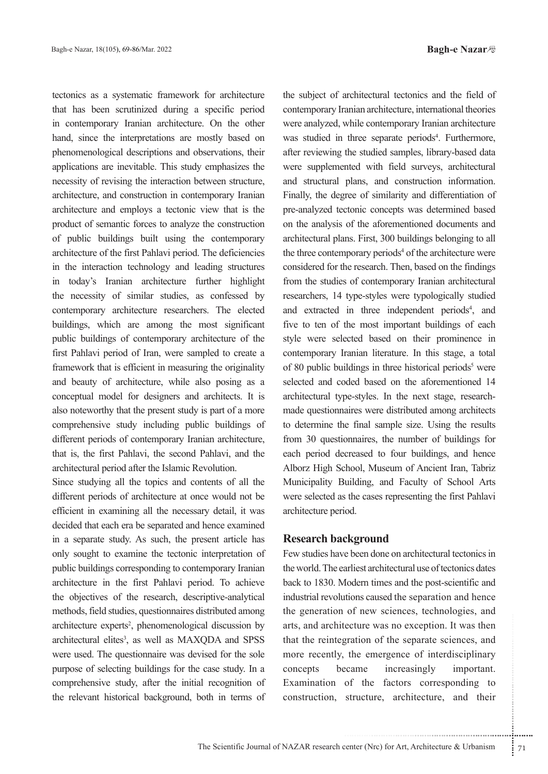tectonics as a systematic framework for architecture that has been scrutinized during a specific period in contemporary Iranian architecture. On the other hand, since the interpretations are mostly based on phenomenological descriptions and observations, their applications are inevitable. This study emphasizes the necessity of revising the interaction between structure, architecture, and construction in contemporary Iranian architecture and employs a tectonic view that is the product of semantic forces to analyze the construction of public buildings built using the contemporary architecture of the first Pahlavi period. The deficiencies in the interaction technology and leading structures in today's Iranian architecture further highlight the necessity of similar studies, as confessed by contemporary architecture researchers. The elected buildings, which are among the most significant public buildings of contemporary architecture of the first Pahlavi period of Iran, were sampled to create a framework that is efficient in measuring the originality and beauty of architecture, while also posing as a conceptual model for designers and architects. It is also noteworthy that the present study is part of a more comprehensive study including public buildings of different periods of contemporary Iranian architecture, that is, the first Pahlavi, the second Pahlavi, and the architectural period after the Islamic Revolution.

Since studying all the topics and contents of all the different periods of architecture at once would not be efficient in examining all the necessary detail, it was decided that each era be separated and hence examined in a separate study. As such, the present article has only sought to examine the tectonic interpretation of public buildings corresponding to contemporary Iranian architecture in the first Pahlavi period. To achieve the objectives of the research, descriptive-analytical methods, field studies, questionnaires distributed among architecture experts<sup>2</sup>, phenomenological discussion by architectural elites<sup>3</sup>, as well as MAXQDA and SPSS were used. The questionnaire was devised for the sole purpose of selecting buildings for the case study. In a comprehensive study, after the initial recognition of the relevant historical background, both in terms of the subject of architectural tectonics and the field of contemporary Iranian architecture, international theories were analyzed, while contemporary Iranian architecture was studied in three separate periods<sup>4</sup>. Furthermore, after reviewing the studied samples, library-based data were supplemented with field surveys, architectural and structural plans, and construction information. Finally, the degree of similarity and differentiation of pre-analyzed tectonic concepts was determined based on the analysis of the aforementioned documents and architectural plans. First, 300 buildings belonging to all the three contemporary periods<sup>4</sup> of the architecture were considered for the research. Then, based on the findings from the studies of contemporary Iranian architectural researchers, 14 type-styles were typologically studied and extracted in three independent periods<sup>4</sup>, and five to ten of the most important buildings of each style were selected based on their prominence in contemporary Iranian literature. In this stage, a total of 80 public buildings in three historical periods<sup>5</sup> were selected and coded based on the aforementioned 14 made questionnaires were distributed among architects architectural type-styles. In the next stage, researchto determine the final sample size. Using the results from 30 questionnaires, the number of buildings for each period decreased to four buildings, and hence Alborz High School, Museum of Ancient Iran, Tabriz Municipality Building, and Faculty of School Arts were selected as the cases representing the first Pahlavi architecture period.

## **Research background**

Le train elementary, containing to<br>ecture was no exception. It was then<br>gration of the separate sciences, and<br>the emergence of interdisciplinary<br>important.<br>of the factors corresponding to<br>structure, architecture, and their Few studies have been done on architectural tectonics in the world. The earliest architectural use of tectonics dates back to 1830. Modern times and the post-scientific and industrial revolutions caused the separation and hence the generation of new sciences, technologies, and arts, and architecture was no exception. It was then that the reintegration of the separate sciences, and more recently, the emergence of interdisciplinary concepts became increasingly important. Examination of the factors corresponding to construction, structure, architecture, and their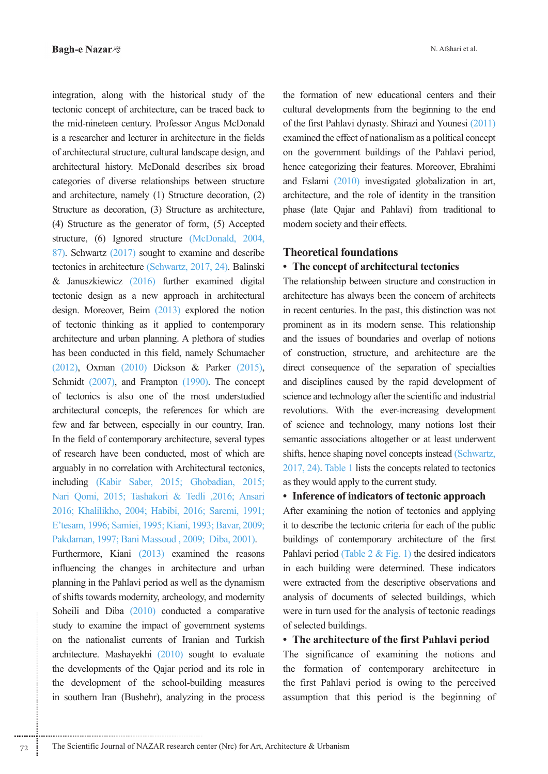integration, along with the historical study of the tectonic concept of architecture, can be traced back to the mid-nineteen century. Professor Angus McDonald is a researcher and lecturer in architecture in the fields of architectural structure, cultural landscape design, and architectural history. McDonald describes six broad categories of diverse relationships between structure and architecture, namely  $(1)$  Structure decoration,  $(2)$ Structure as decoration, (3) Structure as architecture, (4) Structure as the generator of form,  $(5)$  Accepted structure, (6) Ignored structure (McDonald, 2004,  $87$ ). Schwartz  $(2017)$  sought to examine and describe tectonics in architecture (Schwartz, 2017, 24). Balinski  $\&$  Januszkiewicz (2016) further examined digital tectonic design as a new approach in architectural design. Moreover, Beim  $(2013)$  explored the notion of tectonic thinking as it applied to contemporary architecture and urban planning. A plethora of studies has been conducted in this field, namely Schumacher  $(2012)$ , Oxman  $(2010)$  Dickson & Parker  $(2015)$ , Schmidt  $(2007)$ , and Frampton  $(1990)$ . The concept of tectonics is also one of the most understudied architectural concepts, the references for which are few and far between, especially in our country, Iran. In the field of contemporary architecture, several types of research have been conducted, most of which are arguably in no correlation with Architectural tectonics, including (Kabir Saber, 2015; Ghobadian, 2015; Nari Qomi, 2015; Tashakori & Tedli ,2016; Ansari 2016; Khalilikho, 2004; Habibi, 2016; Saremi, 1991; E'tesam, 1996; Samiei, 1995; Kiani, 1993; Bavar, 2009; Pakdaman, 1997; Bani Massoud , 2009; Diba, 2001).

Furthermore, Kiani  $(2013)$  examined the reasons influencing the changes in architecture and urban planning in the Pahlavi period as well as the dynamism of shifts towards modernity, archeology, and modernity Soheili and Diba  $(2010)$  conducted a comparative study to examine the impact of government systems on the nationalist currents of Iranian and Turkish architecture. Mashayekhi  $(2010)$  sought to evaluate the developments of the Qajar period and its role in the development of the school-building measures in southern Iran (Bushehr), analyzing in the process

the formation of new educational centers and their cultural developments from the beginning to the end of the first Pahlavi dynasty. Shirazi and Younesi  $(2011)$ examined the effect of nationalism as a political concept on the government buildings of the Pahlavi period, hence categorizing their features. Moreover, Ebrahimi and Eslami  $(2010)$  investigated globalization in art, architecture, and the role of identity in the transition phase (late Qajar and Pahlavi) from traditional to modern society and their effects.

## **Theoretical foundations**

# • The concept of architectural tectonics

The relationship between structure and construction in architecture has always been the concern of architects in recent centuries. In the past, this distinction was not prominent as in its modern sense. This relationship and the issues of boundaries and overlap of notions of construction, structure, and architecture are the direct consequence of the separation of specialties and disciplines caused by the rapid development of science and technology after the scientific and industrial revolutions. With the ever-increasing development of science and technology, many notions lost their semantic associations altogether or at least underwent shifts, hence shaping novel concepts instead (Schwartz,  $2017, 24$ ). Table 1 lists the concepts related to tectonics as they would apply to the current study.

### • Inference of indicators of tectonic approach

After examining the notion of tectonics and applying it to describe the tectonic criteria for each of the public buildings of contemporary architecture of the first Pahlavi period (Table  $2 \&$  Fig. 1) the desired indicators in each building were determined. These indicators were extracted from the descriptive observations and analysis of documents of selected buildings, which were in turn used for the analysis of tectonic readings of selected buildings.

# • The architecture of the first Pahlavi period

The significance of examining the notions and the formation of contemporary architecture in the first Pahlavi period is owing to the perceived assumption that this period is the beginning of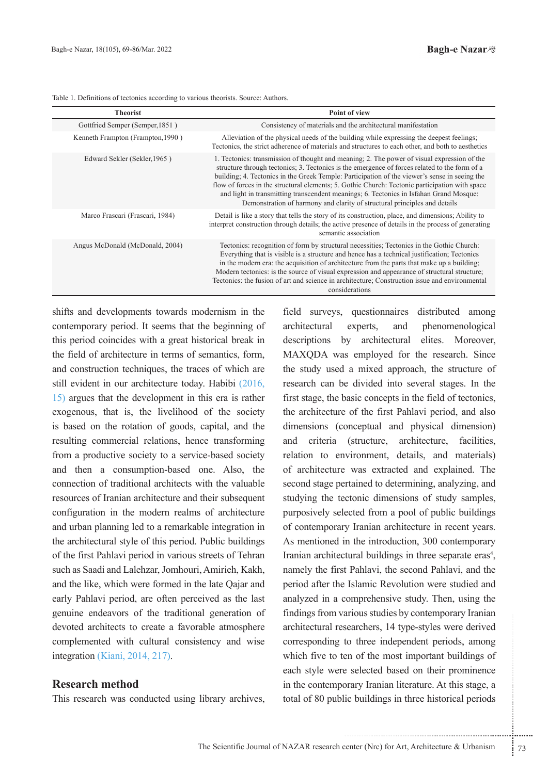| <b>Theorist</b>                   | Point of view                                                                                                                                                                                                                                                                                                                                                                                                                                                                                                                                                          |
|-----------------------------------|------------------------------------------------------------------------------------------------------------------------------------------------------------------------------------------------------------------------------------------------------------------------------------------------------------------------------------------------------------------------------------------------------------------------------------------------------------------------------------------------------------------------------------------------------------------------|
| Gottfried Semper (Semper, 1851)   | Consistency of materials and the architectural manifestation                                                                                                                                                                                                                                                                                                                                                                                                                                                                                                           |
| Kenneth Frampton (Frampton, 1990) | Alleviation of the physical needs of the building while expressing the deepest feelings;<br>Tectonics, the strict adherence of materials and structures to each other, and both to aesthetics                                                                                                                                                                                                                                                                                                                                                                          |
| Edward Sekler (Sekler, 1965)      | 1. Tectonics: transmission of thought and meaning; 2. The power of visual expression of the<br>structure through tectonics; 3. Tectonics is the emergence of forces related to the form of a<br>building; 4. Tectonics in the Greek Temple: Participation of the viewer's sense in seeing the<br>flow of forces in the structural elements; 5. Gothic Church: Tectonic participation with space<br>and light in transmitting transcendent meanings; 6. Tectonics in Isfahan Grand Mosque:<br>Demonstration of harmony and clarity of structural principles and details |
| Marco Frascari (Frascari, 1984)   | Detail is like a story that tells the story of its construction, place, and dimensions; Ability to<br>interpret construction through details; the active presence of details in the process of generating<br>semantic association                                                                                                                                                                                                                                                                                                                                      |
| Angus McDonald (McDonald, 2004)   | Tectonics: recognition of form by structural necessities; Tectonics in the Gothic Church:<br>Everything that is visible is a structure and hence has a technical justification; Tectonics<br>in the modern era: the acquisition of architecture from the parts that make up a building;<br>Modern tectonics: is the source of visual expression and appearance of structural structure;<br>Tectonics: the fusion of art and science in architecture; Construction issue and environmental<br>considerations                                                            |

Table 1. Definitions of tectonics according to various theorists. Source: Authors.

shifts and developments towards modernism in the contemporary period. It seems that the beginning of this period coincides with a great historical break in the field of architecture in terms of semantics, form, and construction techniques, the traces of which are still evident in our architecture today. Habibi (2016,  $\vert$  15) argues that the development in this era is rather exogenous, that is, the livelihood of the society is based on the rotation of goods, capital, and the resulting commercial relations, hence transforming from a productive society to a service-based society and then a consumption-based one. Also, the connection of traditional architects with the valuable resources of Iranian architecture and their subsequent configuration in the modern realms of architecture and urban planning led to a remarkable integration in the architectural style of this period. Public buildings of the first Pahlavi period in various streets of Tehran such as Saadi and Lalehzar, Jomhouri, Amirieh, Kakh, and the like, which were formed in the late Qajar and early Pahlavi period, are often perceived as the last genuine endeavors of the traditional generation of devoted architects to create a favorable atmosphere complemented with cultural consistency and wise integration (Kiani, 2014, 217).

## **method Research**

This research was conducted using library archives,

searchers, 14 type-styles were derived<br>to three independent periods, among<br>en of the most important buildings of<br>e selected based on their prominence<br>prary Iranian literature. At this stage, a<br>ic buildings in three histori field surveys, questionnaires distributed among architectural experts, and phenomenological descriptions by architectural elites. Moreover, MAXQDA was employed for the research. Since the study used a mixed approach, the structure of research can be divided into several stages. In the first stage, the basic concepts in the field of tectonics, the architecture of the first Pahlavi period, and also dimensions (conceptual and physical dimension) and criteria (structure, architecture, facilities, relation to environment, details, and materials) of architecture was extracted and explained. The second stage pertained to determining, analyzing, and studying the tectonic dimensions of study samples, purposively selected from a pool of public buildings of contemporary Iranian architecture in recent years. As mentioned in the introduction, 300 contemporary Iranian architectural buildings in three separate eras<sup>4</sup>, namely the first Pahlavi, the second Pahlavi, and the period after the Islamic Revolution were studied and analyzed in a comprehensive study. Then, using the findings from various studies by contemporary Iranian architectural researchers, 14 type-styles were derived corresponding to three independent periods, among which five to ten of the most important buildings of each style were selected based on their prominence in the contemporary Iranian literature. At this stage, a total of 80 public buildings in three historical periods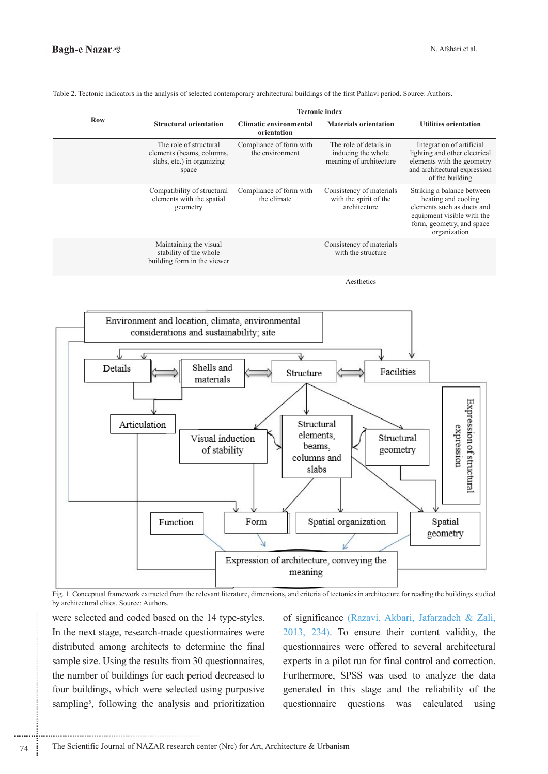|            | <b>Tectonic index</b>                                                                      |                                            |                                                                         |                                                                                                                                                            |  |  |
|------------|--------------------------------------------------------------------------------------------|--------------------------------------------|-------------------------------------------------------------------------|------------------------------------------------------------------------------------------------------------------------------------------------------------|--|--|
| <b>Row</b> | <b>Structural orientation</b>                                                              | Climatic environmental<br>orientation      | <b>Materials orientation</b>                                            | <b>Utilities orientation</b>                                                                                                                               |  |  |
|            | The role of structural<br>elements (beams, columns,<br>slabs, etc.) in organizing<br>space | Compliance of form with<br>the environment | The role of details in<br>inducing the whole<br>meaning of architecture | Integration of artificial<br>lighting and other electrical<br>elements with the geometry<br>and architectural expression<br>of the building                |  |  |
|            | Compatibility of structural<br>elements with the spatial<br>geometry                       | Compliance of form with<br>the climate     | Consistency of materials<br>with the spirit of the<br>architecture      | Striking a balance between<br>heating and cooling<br>elements such as ducts and<br>equipment visible with the<br>form, geometry, and space<br>organization |  |  |
|            | Maintaining the visual<br>stability of the whole<br>building form in the viewer            |                                            | Consistency of materials<br>with the structure                          |                                                                                                                                                            |  |  |
|            |                                                                                            |                                            | Aesthetics                                                              |                                                                                                                                                            |  |  |

Table 2. Tectonic indicators in the analysis of selected contemporary architectural buildings of the first Pahlavi period. Source: Authors.



Fig. 1. Conceptual framework extracted from the relevant literature, dimensions, and criteria of tectonics in architecture for reading the buildings studied by architectural elites. Source: Authors

were selected and coded based on the 14 type-styles. In the next stage, research-made questionnaires were distributed among architects to determine the final sample size. Using the results from 30 questionnaires, the number of buildings for each period decreased to four buildings, which were selected using purposive sampling<sup>5</sup>, following the analysis and prioritization of significance (Razavi, Akbari, Jafarzadeh & Zali,  $2013$ ,  $234$ ). To ensure their content validity, the questionnaires were offered to several architectural experts in a pilot run for final control and correction. Furthermore, SPSS was used to analyze the data generated in this stage and the reliability of the questionnaire questions was calculated using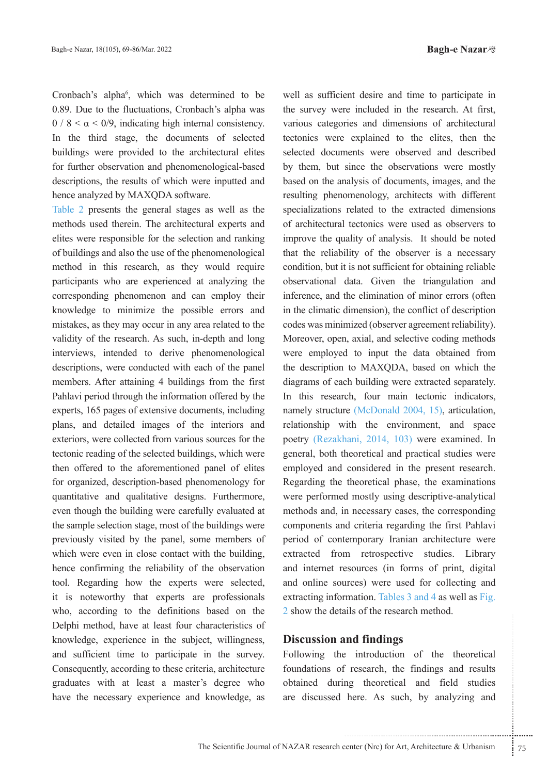Cronbach's alpha<sup>6</sup>, which was determined to be 0.89. Due to the fluctuations, Cronbach's alpha was  $0/8 < \alpha < 0/9$ , indicating high internal consistency. In the third stage, the documents of selected buildings were provided to the architectural elites for further observation and phenomenological-based descriptions, the results of which were inputted and hence analyzed by MAXQDA software.

Table 2 presents the general stages as well as the methods used therein. The architectural experts and elites were responsible for the selection and ranking of buildings and also the use of the phenomenological method in this research, as they would require participants who are experienced at analyzing the corresponding phenomenon and can employ their knowledge to minimize the possible errors and mistakes, as they may occur in any area related to the validity of the research. As such, in-depth and long interviews, intended to derive phenomenological descriptions, were conducted with each of the panel members. After attaining 4 buildings from the first Pahlavi period through the information offered by the experts, 165 pages of extensive documents, including plans, and detailed images of the interiors and exteriors, were collected from various sources for the tectonic reading of the selected buildings, which were then offered to the aforementioned panel of elites for organized, description-based phenomenology for quantitative and qualitative designs. Furthermore, even though the building were carefully evaluated at the sample selection stage, most of the buildings were previously visited by the panel, some members of which were even in close contact with the building, hence confirming the reliability of the observation tool. Regarding how the experts were selected, it is noteworthy that experts are professionals who, according to the definitions based on the Delphi method, have at least four characteristics of knowledge, experience in the subject, willingness, and sufficient time to participate in the survey. Consequently, according to these criteria, architecture graduates with at least a master's degree who have the necessary experience and knowledge, as

well as sufficient desire and time to participate in the survey were included in the research. At first, various categories and dimensions of architectural tectonics were explained to the elites, then the selected documents were observed and described by them, but since the observations were mostly based on the analysis of documents, images, and the resulting phenomenology, architects with different specializations related to the extracted dimensions of architectural tectonics were used as observers to improve the quality of analysis. It should be noted that the reliability of the observer is a necessary condition, but it is not sufficient for obtaining reliable observational data. Given the triangulation and inference, and the elimination of minor errors (often in the climatic dimension), the conflict of description codes was minimized (observer agreement reliability). Moreover, open, axial, and selective coding methods were employed to input the data obtained from the description to MAXQDA, based on which the diagrams of each building were extracted separately. In this research, four main tectonic indicators, namely structure (McDonald  $2004$ , 15), articulation, relationship with the environment, and space poetry (Rezakhani, 2014, 103) were examined. In general, both theoretical and practical studies were employed and considered in the present research. Regarding the theoretical phase, the examinations were performed mostly using descriptive-analytical methods and, in necessary cases, the corresponding components and criteria regarding the first Pahlavi period of contemporary Iranian architecture were extracted from retrospective studies. Library and internet resources (in forms of print, digital and online sources) were used for collecting and extracting information. Tables  $3$  and  $4$  as well as Fig. 2 show the details of the research method.

### *<u>Discussion</u>* and findings

..................................................................... ....... ........ ........... ...... ....... ........ .......... ........... Following the introduction of the theoretical foundations of research, the findings and results obtained during theoretical and field studies are discussed here. As such, by analyzing and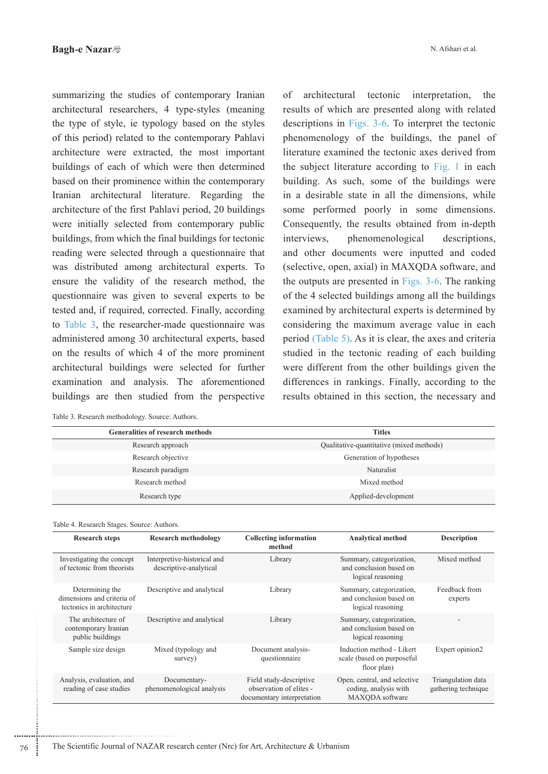summarizing the studies of contemporary Iranian architectural researchers, 4 type-styles (meaning the type of style, ie typology based on the styles of this period) related to the contemporary Pahlavi architecture were extracted, the most important buildings of each of which were then determined based on their prominence within the contemporary Iranian architectural literature. Regarding the architecture of the first Pahlavi period, 20 buildings were initially selected from contemporary public buildings, from which the final buildings for tectonic reading were selected through a questionnaire that was distributed among architectural experts. To ensure the validity of the research method, the questionnaire was given to several experts to be tested and, if required, corrected. Finally, according to Table 3, the researcher-made questionnaire was administered among 30 architectural experts, based on the results of which 4 of the more prominent architectural buildings were selected for further examination and analysis. The aforementioned buildings are then studied from the perspective

| of architectural tectonic interpretation, the           |  |  |  |  |  |  |
|---------------------------------------------------------|--|--|--|--|--|--|
| results of which are presented along with related       |  |  |  |  |  |  |
| descriptions in Figs. 3-6. To interpret the tectonic    |  |  |  |  |  |  |
| phenomenology of the buildings, the panel of            |  |  |  |  |  |  |
| literature examined the tectonic axes derived from      |  |  |  |  |  |  |
| the subject literature according to Fig. 1 in each      |  |  |  |  |  |  |
| building. As such, some of the buildings were           |  |  |  |  |  |  |
| in a desirable state in all the dimensions, while       |  |  |  |  |  |  |
| some performed poorly in some dimensions.               |  |  |  |  |  |  |
| Consequently, the results obtained from in-depth        |  |  |  |  |  |  |
| interviews, phenomenological descriptions,              |  |  |  |  |  |  |
| and other documents were inputted and coded             |  |  |  |  |  |  |
| (selective, open, axial) in MAXQDA software, and        |  |  |  |  |  |  |
| the outputs are presented in Figs. 3-6. The ranking     |  |  |  |  |  |  |
| of the 4 selected buildings among all the buildings     |  |  |  |  |  |  |
| examined by architectural experts is determined by      |  |  |  |  |  |  |
| considering the maximum average value in each           |  |  |  |  |  |  |
| period (Table 5). As it is clear, the axes and criteria |  |  |  |  |  |  |
| studied in the tectonic reading of each building        |  |  |  |  |  |  |
| were different from the other buildings given the       |  |  |  |  |  |  |
| differences in rankings. Finally, according to the      |  |  |  |  |  |  |
| results obtained in this section, the necessary and     |  |  |  |  |  |  |

| <b>Generalities of research methods</b> | <b>Titles</b>                            |
|-----------------------------------------|------------------------------------------|
| Research approach                       | Qualitative-quantitative (mixed methods) |
| Research objective                      | Generation of hypotheses                 |
| Research paradigm                       | Naturalist                               |
| Research method                         | Mixed method                             |
| Research type                           | Applied-development                      |

#### Table 4. Research Stages. Source: Authors.

| <b>Research steps</b>                                                      | <b>Research methodology</b>                           | <b>Collecting information</b><br>method                                          | <b>Analytical method</b>                                                 | <b>Description</b>                        |
|----------------------------------------------------------------------------|-------------------------------------------------------|----------------------------------------------------------------------------------|--------------------------------------------------------------------------|-------------------------------------------|
| Investigating the concept<br>of tectonic from theorists                    | Interpretive-historical and<br>descriptive-analytical | Library                                                                          | Summary, categorization,<br>and conclusion based on<br>logical reasoning | Mixed method                              |
| Determining the<br>dimensions and criteria of<br>tectonics in architecture | Descriptive and analytical                            | Library                                                                          | Summary, categorization,<br>and conclusion based on<br>logical reasoning | Feedback from<br>experts                  |
| The architecture of<br>contemporary Iranian<br>public buildings            | Descriptive and analytical                            | Library                                                                          | Summary, categorization,<br>and conclusion based on<br>logical reasoning |                                           |
| Sample size design                                                         | Mixed (typology and<br>survey)                        | Document analysis-<br>questionnaire                                              | Induction method - Likert<br>scale (based on purposeful<br>floor plan)   | Expert opinion2                           |
| Analysis, evaluation, and<br>reading of case studies                       | Documentary-<br>phenomenological analysis             | Field study-descriptive<br>observation of elites -<br>documentary interpretation | Open, central, and selective<br>coding, analysis with<br>MAXODA software | Triangulation data<br>gathering technique |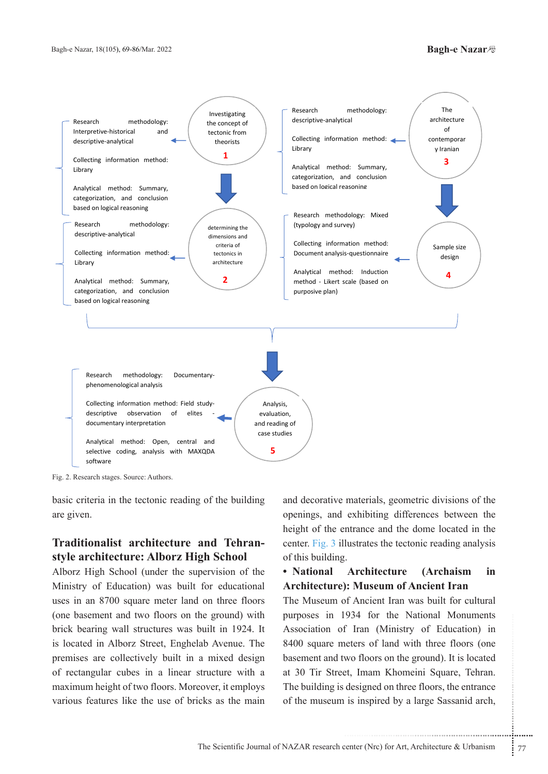

Fig. 2. Research stages. Source: Authors.

basic criteria in the tectonic reading of the building are given.

# style architecture: Alborz High School **Traditionalist architecture and Tehran-**

Alborz High School (under the supervision of the Ministry of Education) was built for educational uses in an 8700 square meter land on three floors (one basement and two floors on the ground) with brick bearing wall structures was built in 1924. It is located in Alborz Street, Enghelab Avenue. The premises are collectively built in a mixed design of rectangular cubes in a linear structure with a maximum height of two floors. Moreover, it employs various features like the use of bricks as the main

and decorative materials, geometric divisions of the openings, and exhibiting differences between the height of the entrance and the dome located in the center. Fig. 3 illustrates the tectonic reading analysis of this building.

# • National Architecture (Archaism in **Architecture**): Museum of Ancient Iran

934 for the National Moniments<br>
f Iran (Ministry of Education) in<br>
eters of land with three floors (one<br>
wo floors on the ground). It is located<br>
et, Imam Khomeini Square, Tehran.<br>
designed on three floors, the entrance<br>
i The Museum of Ancient Iran was built for cultural purposes in 1934 for the National Monuments Association of Iran (Ministry of Education) in 8400 square meters of land with three floors (one basement and two floors on the ground). It is located at 30 Tir Street, Imam Khomeini Square, Tehran. The building is designed on three floors, the entrance of the museum is inspired by a large Sassanid arch,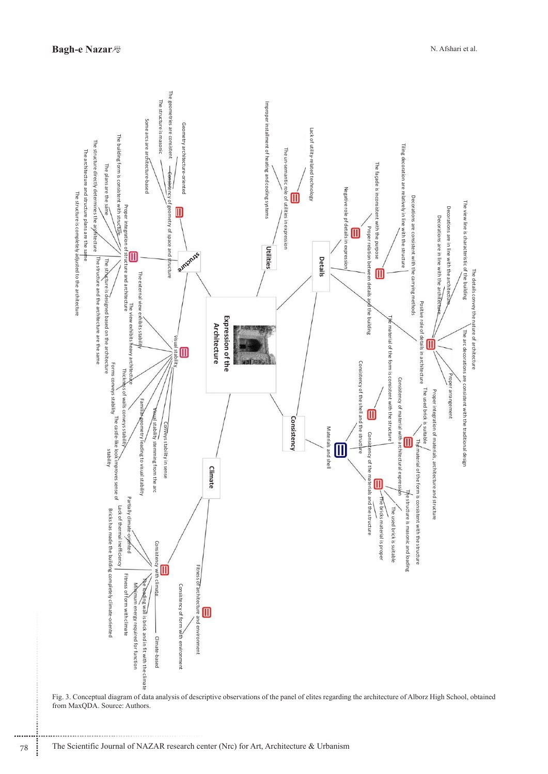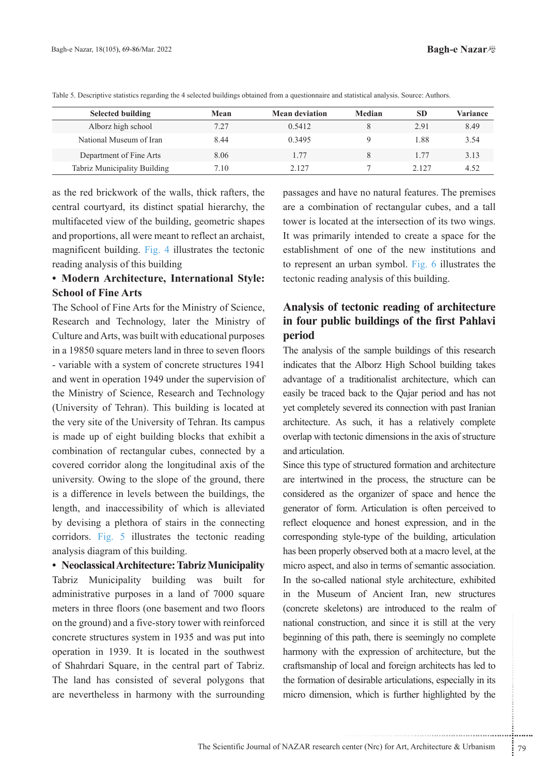| <b>Selected building</b>     | Mean | <b>Mean deviation</b> | Median | <b>SD</b> | <b>Variance</b> |
|------------------------------|------|-----------------------|--------|-----------|-----------------|
| Alborz high school           | 7.27 | 0.5412                |        | 2.91      | 8.49            |
| National Museum of Iran      | 8.44 | 0.3495                |        | 1.88      | 3.54            |
| Department of Fine Arts      | 8.06 | 1.77                  |        | 1.77      | 3.13            |
| Tabriz Municipality Building | 7.10 | 2.127                 |        | 2.127     | 4 52            |

Table 5. Descriptive statistics regarding the 4 selected buildings obtained from a questionnaire and statistical analysis. Source: Authors.

as the red brickwork of the walls, thick rafters, the central courtyard, its distinct spatial hierarchy, the multifaceted view of the building, geometric shapes and proportions, all were meant to reflect an archaist, magnificent building. Fig. 4 illustrates the tectonic reading analysis of this building

# **• Modern Architecture, International Style: School of Fine Arts**

The School of Fine Arts for the Ministry of Science, Research and Technology, later the Ministry of Culture and Arts, was built with educational purposes in a 19850 square meters land in three to seven floors - variable with a system of concrete structures 1941 and went in operation 1949 under the supervision of the Ministry of Science, Research and Technology (University of Tehran). This building is located at the very site of the University of Tehran. Its campus is made up of eight building blocks that exhibit a combination of rectangular cubes, connected by a covered corridor along the longitudinal axis of the university. Owing to the slope of the ground, there is a difference in levels between the buildings, the length, and inaccessibility of which is alleviated by devising a plethora of stairs in the connecting corridors. Fig. 5 illustrates the tectonic reading analysis diagram of this building.

• Neoclassical Architecture: Tabriz Municipality Tabriz Municipality building was built for administrative purposes in a land of 7000 square meters in three floors (one basement and two floors on the ground) and a five-story tower with reinforced concrete structures system in 1935 and was put into operation in 1939. It is located in the southwest of Shahrdari Square, in the central part of Tabriz. The land has consisted of several polygons that are nevertheless in harmony with the surrounding passages and have no natural features. The premises are a combination of rectangular cubes, and a tall tower is located at the intersection of its two wings. It was primarily intended to create a space for the establishment of one of the new institutions and to represent an urban symbol. Fig. 6 illustrates the tectonic reading analysis of this building.

# Analysis of tectonic reading of architecture in four public buildings of the first Pahlavi **period**

The analysis of the sample buildings of this research indicates that the Alborz High School building takes advantage of a traditionalist architecture, which can easily be traced back to the Qajar period and has not yet completely severed its connection with past Iranian architecture. As such, it has a relatively complete overlap with tectonic dimensions in the axis of structure and articulation.

notation, and since it is still at the very<br>s path, there is seemingly no complete<br>the expression of architecture, but the<br>f local and foreign architects has led to<br>idesirable articulations, especially in its<br>n, which is f Since this type of structured formation and architecture are intertwined in the process, the structure can be considered as the organizer of space and hence the generator of form. Articulation is often perceived to reflect eloquence and honest expression, and in the corresponding style-type of the building, articulation has been properly observed both at a macro level, at the micro aspect, and also in terms of semantic association. In the so-called national style architecture, exhibited in the Museum of Ancient Iran, new structures (concrete skeletons) are introduced to the realm of national construction, and since it is still at the very beginning of this path, there is seemingly no complete harmony with the expression of architecture, but the craftsmanship of local and foreign architects has led to the formation of desirable articulations, especially in its micro dimension, which is further highlighted by the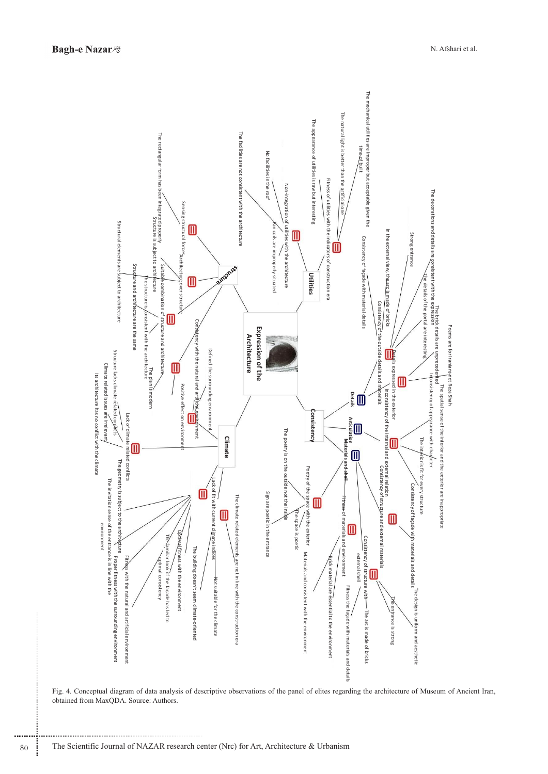

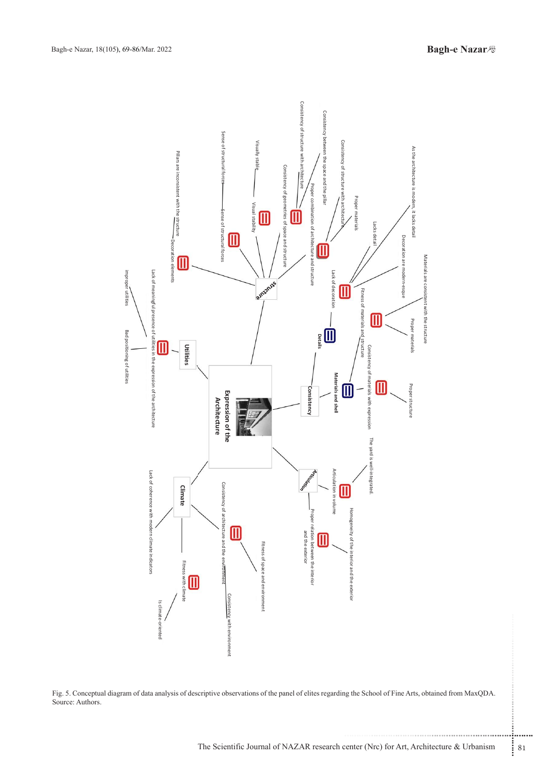

Fig. 5. Conceptual diagram of data analysis of descriptive observations of the panel of elites regarding the School of Fine Arts, obtained from MaxQDA. Source: Authors.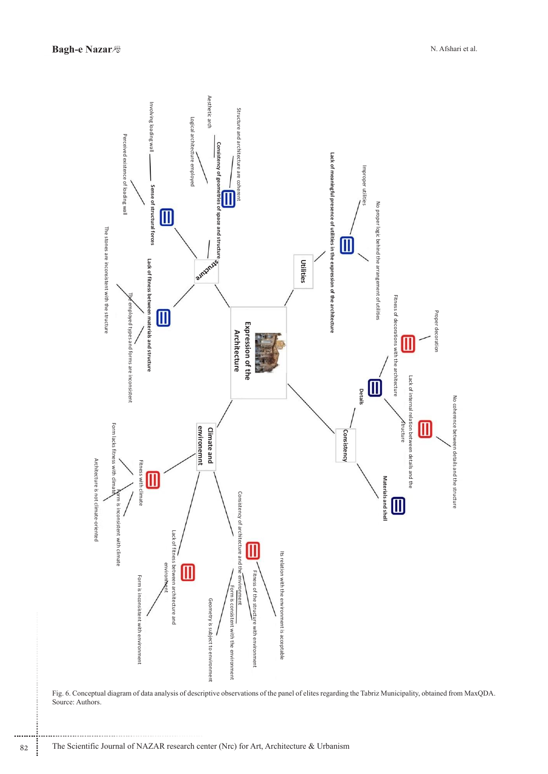

Fig. 6. Conceptual diagram of data analysis of descriptive observations of the panel of elites regarding the Tabriz Municipality, obtained from MaxQDA. Source: Authors.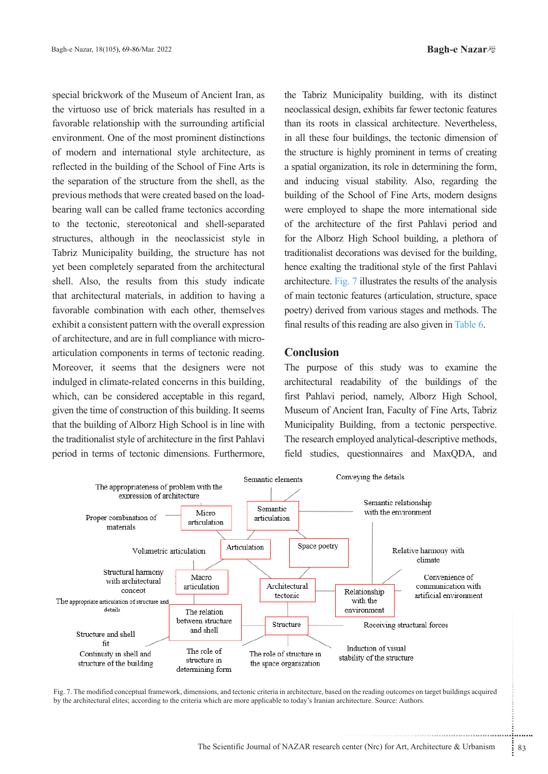special brickwork of the Museum of Ancient Iran, as the virtuoso use of brick materials has resulted in a favorable relationship with the surrounding artificial environment. One of the most prominent distinctions of modern and international style architecture, as reflected in the building of the School of Fine Arts is the separation of the structure from the shell, as the bearing wall can be called frame tectonics according previous methods that were created based on the loadto the tectonic, stereotonical and shell-separated structures, although in the neoclassicist style in Tabriz Municipality building, the structure has not yet been completely separated from the architectural shell. Also, the results from this study indicate that architectural materials, in addition to having a favorable combination with each other, themselves exhibit a consistent pattern with the overall expression articulation components in terms of tectonic reading. of architecture, and are in full compliance with micro-Moreover, it seems that the designers were not indulged in climate-related concerns in this building, which, can be considered acceptable in this regard, given the time of construction of this building. It seems that the building of Alborz High School is in line with the traditionalist style of architecture in the first Pahlavi period in terms of tectonic dimensions. Furthermore,

the Tabriz Municipality building, with its distinct neoclassical design, exhibits far fewer tectonic features than its roots in classical architecture. Nevertheless, in all these four buildings, the tectonic dimension of the structure is highly prominent in terms of creating a spatial organization, its role in determining the form, and inducing visual stability. Also, regarding the building of the School of Fine Arts, modern designs were employed to shape the more international side of the architecture of the first Pahlavi period and for the Alborz High School building, a plethora of traditionalist decorations was devised for the building, hence exalting the traditional style of the first Pahlavi architecture. Fig.  $7$  illustrates the results of the analysis of main tectonic features (articulation, structure, space poetry) derived from various stages and methods. The final results of this reading are also given in Table 6.

## **Conclusion**

The purpose of this study was to examine the architectural readability of the buildings of the first Pahlavi period, namely, Alborz High School, Museum of Ancient Iran, Faculty of Fine Arts, Tabriz Municipality Building, from a tectonic perspective. The research employed analytical-descriptive methods, field studies, questionnaires and MaxQDA, and



Fig. 7. The modified conceptual framework, dimensions, and tectonic criteria in architecture, based on the reading outcomes on target buildings acquired by the architectural elites; according to the criteria which are more applicable to today's Iranian architecture. Source: Authors.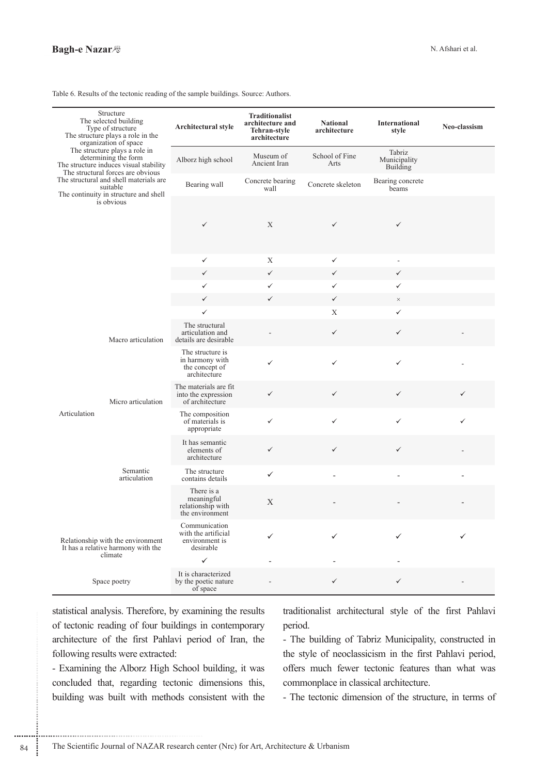Table 6. Results of the tectonic reading of the sample buildings. Source: Authors.

| Structure<br>The selected building<br>Type of structure<br>The structure plays a role in the<br>organization of space                          |                                                                       | Architectural style                                                 | <b>Traditionalist</b><br>architecture and<br>Tehran-style<br>architecture | <b>National</b><br>architecture           | <b>International</b><br>style | Neo-classism |
|------------------------------------------------------------------------------------------------------------------------------------------------|-----------------------------------------------------------------------|---------------------------------------------------------------------|---------------------------------------------------------------------------|-------------------------------------------|-------------------------------|--------------|
| The structure plays a role in<br>determining the form<br>The structure induces visual stability                                                | Alborz high school                                                    | Museum of<br>Ancient Iran                                           | School of Fine<br>Arts                                                    | Tabriz<br>Municipality<br><b>Building</b> |                               |              |
| The structural forces are obvious<br>The structural and shell materials are<br>suitable<br>The continuity in structure and shell<br>is obvious |                                                                       | Bearing wall                                                        | Concrete bearing<br>wall                                                  | Concrete skeleton                         | Bearing concrete<br>beams     |              |
|                                                                                                                                                |                                                                       | $\checkmark$                                                        | X                                                                         | $\checkmark$                              | $\checkmark$                  |              |
|                                                                                                                                                |                                                                       | $\checkmark$                                                        | X                                                                         | ✓                                         | $\overline{\phantom{a}}$      |              |
|                                                                                                                                                |                                                                       | $\checkmark$                                                        | $\checkmark$                                                              | $\checkmark$                              | $\checkmark$                  |              |
|                                                                                                                                                |                                                                       | $\checkmark$                                                        | $\checkmark$                                                              | $\checkmark$                              | $\checkmark$                  |              |
|                                                                                                                                                |                                                                       | $\checkmark$                                                        | ✓                                                                         | $\checkmark$                              | $\times$                      |              |
|                                                                                                                                                |                                                                       | $\checkmark$                                                        |                                                                           | X                                         | $\checkmark$                  |              |
| Macro articulation<br>Micro articulation<br>Articulation<br>Semantic<br>articulation                                                           | The structural<br>articulation and<br>details are desirable           |                                                                     | $\checkmark$                                                              | $\checkmark$                              |                               |              |
|                                                                                                                                                | The structure is<br>in harmony with<br>the concept of<br>architecture | ✓                                                                   | ✓                                                                         | $\checkmark$                              |                               |              |
|                                                                                                                                                | The materials are fit<br>into the expression<br>of architecture       | $\checkmark$                                                        | $\checkmark$                                                              | $\checkmark$                              | $\checkmark$                  |              |
|                                                                                                                                                | The composition<br>of materials is<br>appropriate                     | ✓                                                                   | ✓                                                                         | $\checkmark$                              | ✓                             |              |
|                                                                                                                                                | It has semantic<br>elements of<br>architecture                        | $\checkmark$                                                        | $\checkmark$                                                              | $\checkmark$                              |                               |              |
|                                                                                                                                                | The structure<br>contains details                                     | $\checkmark$                                                        | $\overline{a}$                                                            | L,                                        | $\overline{\phantom{0}}$      |              |
|                                                                                                                                                | There is a<br>meaningful<br>relationship with<br>the environment      | X                                                                   |                                                                           |                                           |                               |              |
| Relationship with the environment<br>It has a relative harmony with the                                                                        |                                                                       | Communication<br>with the artificial<br>environment is<br>desirable |                                                                           |                                           | ✓                             | ✓            |
| climate                                                                                                                                        |                                                                       | $\checkmark$                                                        |                                                                           |                                           |                               |              |
| Space poetry                                                                                                                                   |                                                                       | It is characterized<br>by the poetic nature<br>of space             |                                                                           | $\checkmark$                              | ✓                             |              |

statistical analysis. Therefore, by examining the results of tectonic reading of four buildings in contemporary architecture of the first Pahlavi period of Iran, the following results were extracted:

- Examining the Alborz High School building, it was concluded that, regarding tectonic dimensions this, building was built with methods consistent with the traditionalist architectural style of the first Pahlavi period.

- The building of Tabriz Municipality, constructed in the style of neoclassicism in the first Pahlavi period, offers much fewer tectonic features than what was commonplace in classical architecture.

- The tectonic dimension of the structure, in terms of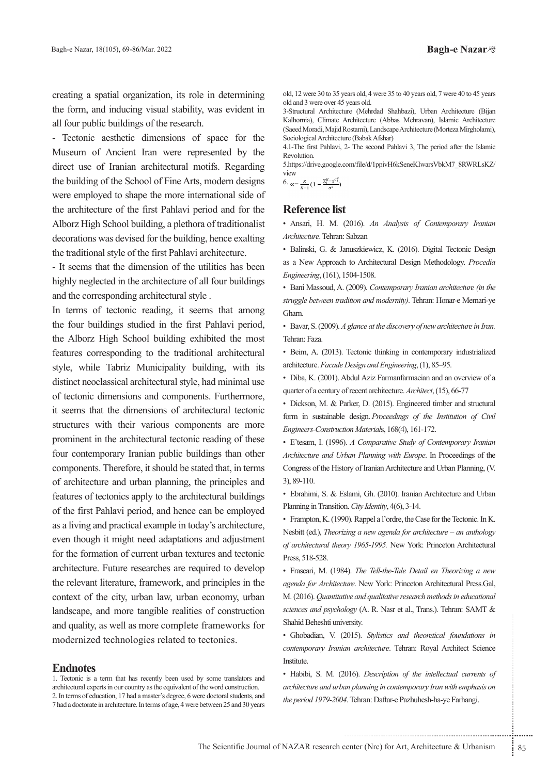creating a spatial organization, its role in determining the form, and inducing visual stability, was evident in all four public buildings of the research.

- Tectonic aesthetic dimensions of space for the Museum of Ancient Iran were represented by the direct use of Iranian architectural motifs. Regarding the building of the School of Fine Arts, modern designs were employed to shape the more international side of the architecture of the first Pahlavi period and for the Alborz High School building, a plethora of traditionalist decorations was devised for the building, hence exalting the traditional style of the first Pahlavi architecture.

- It seems that the dimension of the utilities has been highly neglected in the architecture of all four buildings and the corresponding architectural style.

In terms of tectonic reading, it seems that among the four buildings studied in the first Pahlavi period, the Alborz High School building exhibited the most features corresponding to the traditional architectural style, while Tabriz Municipality building, with its distinct neoclassical architectural style, had minimal use of tectonic dimensions and components. Furthermore, it seems that the dimensions of architectural tectonic structures with their various components are more prominent in the architectural tectonic reading of these four contemporary Iranian public buildings than other components. Therefore, it should be stated that, in terms of architecture and urban planning, the principles and features of tectonics apply to the architectural buildings of the first Pahlavi period, and hence can be employed as a living and practical example in today's architecture, even though it might need adaptations and adjustment for the formation of current urban textures and tectonic architecture. Future researches are required to develop the relevant literature, framework, and principles in the context of the city, urban law, urban economy, urban landscape, and more tangible realities of construction and quality, as well as more complete frameworks for modernized technologies related to tectonics.

## **Endnotes**

1. Tectonic is a term that has recently been used by some translators and architectural experts in our country as the equivalent of the word construction. 2. In terms of education, 17 had a master's degree, 6 were doctoral students, and 7 had a doctorate in architecture. In terms of age, 4 were between 25 and 30 years old, 12 were 30 to 35 years old, 4 were 35 to 40 years old, 7 were 40 to 45 years old and 3 were over 45 years old.

3-Structural Architecture (Mehrdad Shahbazi), Urban Architecture (Bijan Kalhornia), Climate Architecture (Abbas Mehravan), Islamic Architecture (Saeed Moradi, Majid Rostami), Landscape Architecture (Morteza Mirgholami), Sociological Architecture (Babak Afshar)

4.1-The first Pahlavi, 2- The second Pahlavi 3, The period after the Islamic .Revolution

5.https://drive.google.com/file/d/1ppivH6kSeneKIwarsVbkM7\_8RWRLsKZ/ view

6.  $\alpha = \frac{K}{n-1} \left( 1 - \frac{\sum_{i=1}^{K} \sigma_i^2}{n} \right)$ 

# **Reference** list

• Ansari, H. M. (2016). An Analysis of Contemporary Iranian Architecture. Tehran: Sabzan

· Balinski, G. & Januszkiewicz, K. (2016). Digital Tectonic Design as a New Approach to Architectural Design Methodology. Procedia Engineering, (161), 1504-1508.

• Bani Massoud, A. (2009). Contemporary Iranian architecture (in the struggle between tradition and modernity). Tehran: Honar-e Memari-ye Gharn.

**·** Bavar, S. (2009). *A glance at the discovery of new architecture in Iran.* Tehran: Faza.

• Beim, A. (2013). Tectonic thinking in contemporary industrialized architecture. Facade Design and Engineering, (1), 85-95.

• Diba, K. (2001). Abdul Aziz Farmanfarmaeian and an overview of a quarter of a century of recent architecture. Architect, (15), 66-77

• Dickson, M. & Parker, D. (2015). Engineered timber and structural form in sustainable design. Proceedings of the Institution of Civil Engineers-Construction Materials, 168(4), 161-172.

• E'tesam, I. (1996). *A Comparative Study of Contemporary Iranian* Architecture and Urban Planning with Europe. In Proceedings of the Congress of the History of Iranian Architecture and Urban Planning, (V.  $3, 89-110.$ 

• Ebrahimi, S. & Eslami, Gh. (2010). Iranian Architecture and Urban Planning in Transition. City Identity, 4(6), 3-14.

• Frampton, K. (1990). Rappel a l'ordre, the Case for the Tectonic. In K. *Nesbitt (ed.), Theorizing a new agenda for architecture – an anthology* of architectural theory 1965-1995. New York: Princeton Architectural Press, 518-528.

• Frascari, M. (1984). *The Tell-the-Tale Detail en Theorizing a new* agenda for Architecture. New York: Princeton Architectural Press.Gal, **M.** (2016). Quantitative and qualitative research methods in educational sciences and psychology (A. R. Nasr et al., Trans.). Tehran: SAMT & Shahid Beheshti university.

• Ghobadian, V. (2015). Stylistics and theoretical foundations in contemporary Iranian architecture. Tehran: Royal Architect Science Institute.

rensity.<br>2015). *Stylistics and theoretical foundations in*<br> *m architecture*. Tehran: Royal Architect Science<br>
016). *Description of the intellectual currents of*<br> *m planning in contemporary Iran with emphasis on*<br>
4. Te • Habibi, S. M. (2016). *Description of the intellectual currents of architecture and urban planning in contemporary Iran with emphasis on* the period 1979-2004. Tehran: Daftar-e Pazhuhesh-ha-ye Farhangi.